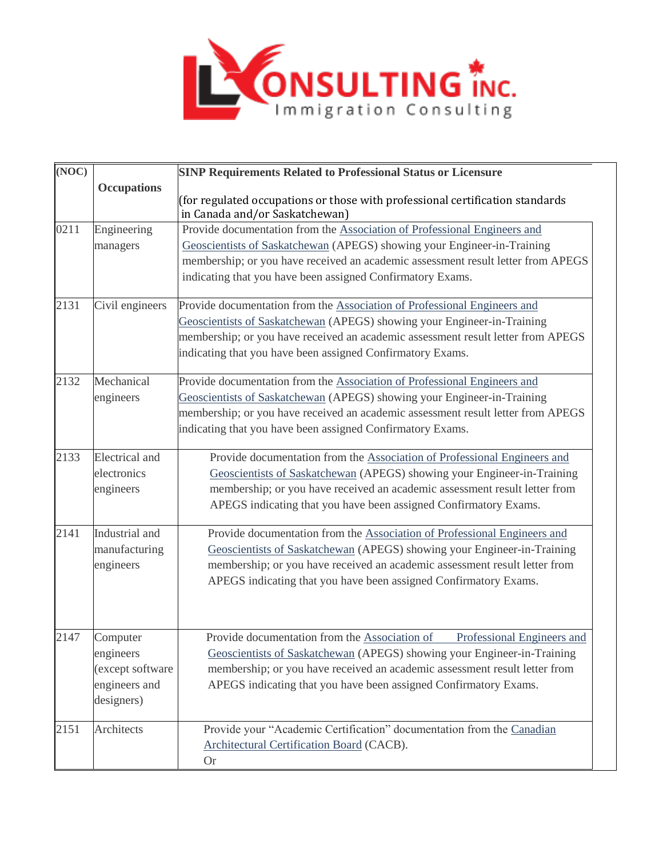

| (NOC) |                                                                          | <b>SINP Requirements Related to Professional Status or Licensure</b>                                                                                                                                                                                                                                     |
|-------|--------------------------------------------------------------------------|----------------------------------------------------------------------------------------------------------------------------------------------------------------------------------------------------------------------------------------------------------------------------------------------------------|
|       | <b>Occupations</b>                                                       | (for regulated occupations or those with professional certification standards<br>in Canada and/or Saskatchewan)                                                                                                                                                                                          |
| 0211  | Engineering<br>managers                                                  | Provide documentation from the Association of Professional Engineers and<br>Geoscientists of Saskatchewan (APEGS) showing your Engineer-in-Training<br>membership; or you have received an academic assessment result letter from APEGS<br>indicating that you have been assigned Confirmatory Exams.    |
| 2131  | Civil engineers                                                          | Provide documentation from the Association of Professional Engineers and<br>Geoscientists of Saskatchewan (APEGS) showing your Engineer-in-Training<br>membership; or you have received an academic assessment result letter from APEGS<br>indicating that you have been assigned Confirmatory Exams.    |
| 2132  | Mechanical<br>engineers                                                  | Provide documentation from the Association of Professional Engineers and<br>Geoscientists of Saskatchewan (APEGS) showing your Engineer-in-Training<br>membership; or you have received an academic assessment result letter from APEGS<br>indicating that you have been assigned Confirmatory Exams.    |
| 2133  | <b>Electrical</b> and<br>electronics<br>engineers                        | Provide documentation from the Association of Professional Engineers and<br>Geoscientists of Saskatchewan (APEGS) showing your Engineer-in-Training<br>membership; or you have received an academic assessment result letter from<br>APEGS indicating that you have been assigned Confirmatory Exams.    |
| 2141  | Industrial and<br>manufacturing<br>engineers                             | Provide documentation from the Association of Professional Engineers and<br>Geoscientists of Saskatchewan (APEGS) showing your Engineer-in-Training<br>membership; or you have received an academic assessment result letter from<br>APEGS indicating that you have been assigned Confirmatory Exams.    |
| 2147  | Computer<br>engineers<br>(except software<br>engineers and<br>designers) | Provide documentation from the Association of<br>Professional Engineers and<br>Geoscientists of Saskatchewan (APEGS) showing your Engineer-in-Training<br>membership; or you have received an academic assessment result letter from<br>APEGS indicating that you have been assigned Confirmatory Exams. |
| 2151  | Architects                                                               | Provide your "Academic Certification" documentation from the Canadian<br>Architectural Certification Board (CACB).<br><b>Or</b>                                                                                                                                                                          |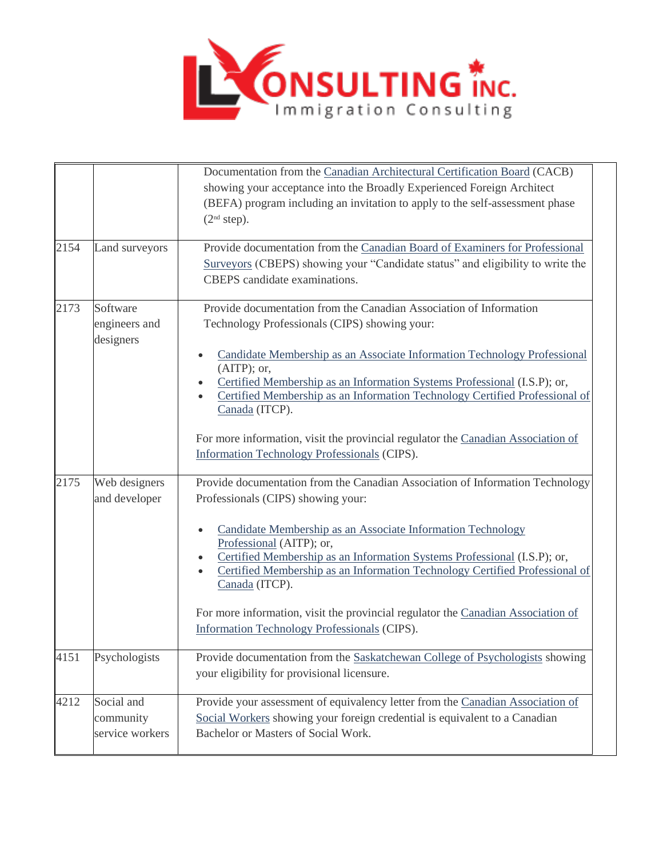

|      |                                            | Documentation from the Canadian Architectural Certification Board (CACB)<br>showing your acceptance into the Broadly Experienced Foreign Architect<br>(BEFA) program including an invitation to apply to the self-assessment phase<br>(2 <sup>nd</sup> step).           |
|------|--------------------------------------------|-------------------------------------------------------------------------------------------------------------------------------------------------------------------------------------------------------------------------------------------------------------------------|
| 2154 | Land surveyors                             | Provide documentation from the Canadian Board of Examiners for Professional<br>Surveyors (CBEPS) showing your "Candidate status" and eligibility to write the<br>CBEPS candidate examinations.                                                                          |
| 2173 | Software<br>engineers and<br>designers     | Provide documentation from the Canadian Association of Information<br>Technology Professionals (CIPS) showing your:                                                                                                                                                     |
|      |                                            | Candidate Membership as an Associate Information Technology Professional<br>$(AITP)$ ; or,<br>Certified Membership as an Information Systems Professional (I.S.P); or,<br>Certified Membership as an Information Technology Certified Professional of<br>Canada (ITCP). |
|      |                                            | For more information, visit the provincial regulator the Canadian Association of<br>Information Technology Professionals (CIPS).                                                                                                                                        |
| 2175 | Web designers<br>and developer             | Provide documentation from the Canadian Association of Information Technology<br>Professionals (CIPS) showing your:                                                                                                                                                     |
|      |                                            | Candidate Membership as an Associate Information Technology<br>Professional (AITP); or,<br>Certified Membership as an Information Systems Professional (I.S.P); or,<br>Certified Membership as an Information Technology Certified Professional of<br>Canada (ITCP).    |
|      |                                            | For more information, visit the provincial regulator the Canadian Association of<br>Information Technology Professionals (CIPS).                                                                                                                                        |
| 4151 | Psychologists                              | Provide documentation from the Saskatchewan College of Psychologists showing<br>your eligibility for provisional licensure.                                                                                                                                             |
| 4212 | Social and<br>community<br>service workers | Provide your assessment of equivalency letter from the Canadian Association of<br>Social Workers showing your foreign credential is equivalent to a Canadian<br>Bachelor or Masters of Social Work.                                                                     |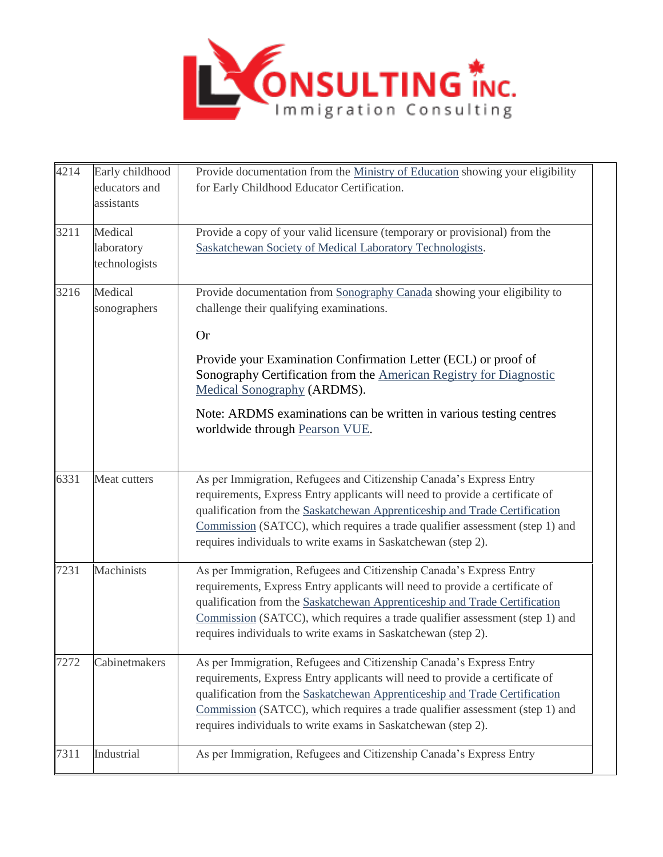

| 4214 | Early childhood<br>educators and<br>assistants | Provide documentation from the Ministry of Education showing your eligibility<br>for Early Childhood Educator Certification.                                                                                                                                                                                                                                                       |
|------|------------------------------------------------|------------------------------------------------------------------------------------------------------------------------------------------------------------------------------------------------------------------------------------------------------------------------------------------------------------------------------------------------------------------------------------|
| 3211 | Medical<br>laboratory<br>technologists         | Provide a copy of your valid licensure (temporary or provisional) from the<br>Saskatchewan Society of Medical Laboratory Technologists.                                                                                                                                                                                                                                            |
| 3216 | Medical<br>sonographers                        | Provide documentation from Sonography Canada showing your eligibility to<br>challenge their qualifying examinations.<br><b>Or</b>                                                                                                                                                                                                                                                  |
|      |                                                | Provide your Examination Confirmation Letter (ECL) or proof of<br>Sonography Certification from the American Registry for Diagnostic<br>Medical Sonography (ARDMS).                                                                                                                                                                                                                |
|      |                                                | Note: ARDMS examinations can be written in various testing centres<br>worldwide through Pearson VUE.                                                                                                                                                                                                                                                                               |
| 6331 | Meat cutters                                   | As per Immigration, Refugees and Citizenship Canada's Express Entry<br>requirements, Express Entry applicants will need to provide a certificate of<br>qualification from the Saskatchewan Apprenticeship and Trade Certification<br>Commission (SATCC), which requires a trade qualifier assessment (step 1) and<br>requires individuals to write exams in Saskatchewan (step 2). |
| 7231 | Machinists                                     | As per Immigration, Refugees and Citizenship Canada's Express Entry<br>requirements, Express Entry applicants will need to provide a certificate of<br>qualification from the Saskatchewan Apprenticeship and Trade Certification<br>Commission (SATCC), which requires a trade qualifier assessment (step 1) and<br>requires individuals to write exams in Saskatchewan (step 2). |
| 7272 | Cabinetmakers                                  | As per Immigration, Refugees and Citizenship Canada's Express Entry<br>requirements, Express Entry applicants will need to provide a certificate of<br>qualification from the Saskatchewan Apprenticeship and Trade Certification<br>Commission (SATCC), which requires a trade qualifier assessment (step 1) and<br>requires individuals to write exams in Saskatchewan (step 2). |
| 7311 | Industrial                                     | As per Immigration, Refugees and Citizenship Canada's Express Entry                                                                                                                                                                                                                                                                                                                |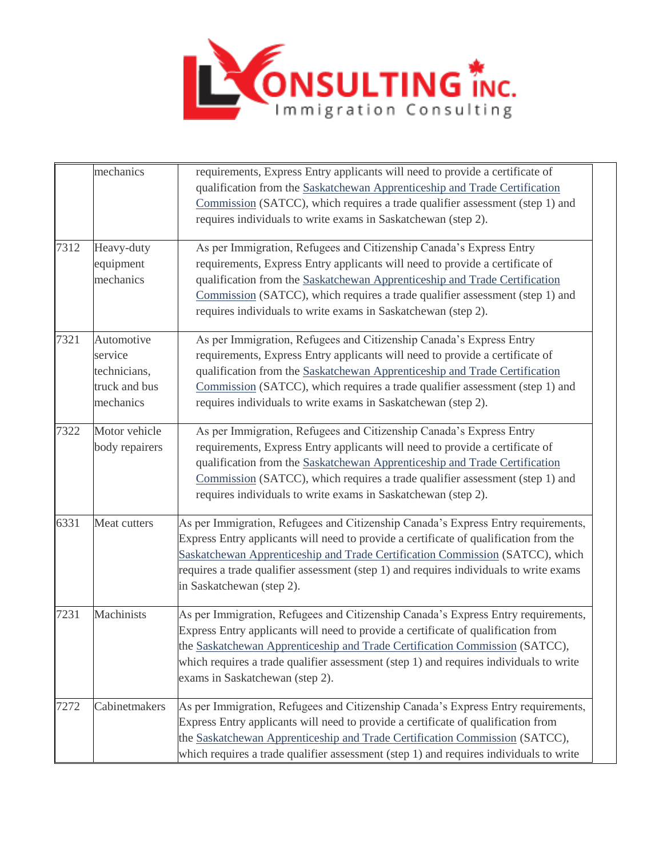

|      | mechanics                                                           | requirements, Express Entry applicants will need to provide a certificate of<br>qualification from the Saskatchewan Apprenticeship and Trade Certification<br>Commission (SATCC), which requires a trade qualifier assessment (step 1) and<br>requires individuals to write exams in Saskatchewan (step 2).                                                                        |
|------|---------------------------------------------------------------------|------------------------------------------------------------------------------------------------------------------------------------------------------------------------------------------------------------------------------------------------------------------------------------------------------------------------------------------------------------------------------------|
| 7312 | Heavy-duty<br>equipment<br>mechanics                                | As per Immigration, Refugees and Citizenship Canada's Express Entry<br>requirements, Express Entry applicants will need to provide a certificate of<br>qualification from the Saskatchewan Apprenticeship and Trade Certification<br>Commission (SATCC), which requires a trade qualifier assessment (step 1) and<br>requires individuals to write exams in Saskatchewan (step 2). |
| 7321 | Automotive<br>service<br>technicians,<br>truck and bus<br>mechanics | As per Immigration, Refugees and Citizenship Canada's Express Entry<br>requirements, Express Entry applicants will need to provide a certificate of<br>qualification from the Saskatchewan Apprenticeship and Trade Certification<br>Commission (SATCC), which requires a trade qualifier assessment (step 1) and<br>requires individuals to write exams in Saskatchewan (step 2). |
| 7322 | Motor vehicle<br>body repairers                                     | As per Immigration, Refugees and Citizenship Canada's Express Entry<br>requirements, Express Entry applicants will need to provide a certificate of<br>qualification from the Saskatchewan Apprenticeship and Trade Certification<br>Commission (SATCC), which requires a trade qualifier assessment (step 1) and<br>requires individuals to write exams in Saskatchewan (step 2). |
| 6331 | Meat cutters                                                        | As per Immigration, Refugees and Citizenship Canada's Express Entry requirements,<br>Express Entry applicants will need to provide a certificate of qualification from the<br>Saskatchewan Apprenticeship and Trade Certification Commission (SATCC), which<br>requires a trade qualifier assessment (step 1) and requires individuals to write exams<br>in Saskatchewan (step 2). |
| 7231 | Machinists                                                          | As per Immigration, Refugees and Citizenship Canada's Express Entry requirements,<br>Express Entry applicants will need to provide a certificate of qualification from<br>the Saskatchewan Apprenticeship and Trade Certification Commission (SATCC),<br>which requires a trade qualifier assessment (step 1) and requires individuals to write<br>exams in Saskatchewan (step 2). |
| 7272 | Cabinetmakers                                                       | As per Immigration, Refugees and Citizenship Canada's Express Entry requirements,<br>Express Entry applicants will need to provide a certificate of qualification from<br>the Saskatchewan Apprenticeship and Trade Certification Commission (SATCC),<br>which requires a trade qualifier assessment (step 1) and requires individuals to write                                    |